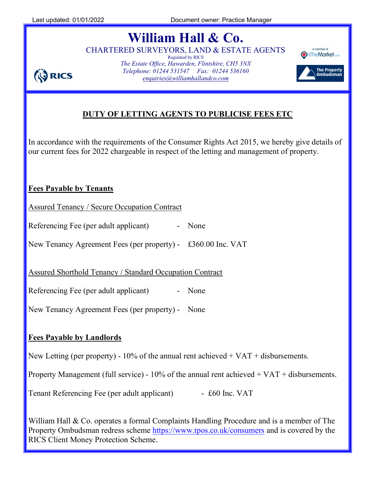**ED RICS** 

# William Hall & Co.

CHARTERED SURVEYORS, LAND & ESTATE AGENTS Regulated by RICS The Estate Office, Hawarden, Flintshire, CH5 3NX Telephone: 01244 531547 Fax: 01244 536160 enquiries@williamhallandco.com



## DUTY OF LETTING AGENTS TO PUBLICISE FEES ETC

In accordance with the requirements of the Consumer Rights Act 2015, we hereby give details of our current fees for 2022 chargeable in respect of the letting and management of property.

#### Fees Payable by Tenants

Assured Tenancy / Secure Occupation Contract

Referencing Fee (per adult applicant) - None

New Tenancy Agreement Fees (per property) - £360.00 Inc. VAT

Assured Shorthold Tenancy / Standard Occupation Contract

Referencing Fee (per adult applicant) - None

New Tenancy Agreement Fees (per property) - None

#### Fees Payable by Landlords

New Letting (per property) -  $10\%$  of the annual rent achieved + VAT + disbursements.

Property Management (full service) - 10% of the annual rent achieved + VAT + disbursements.

Tenant Referencing Fee (per adult applicant) - £60 Inc. VAT

William Hall & Co. operates a formal Complaints Handling Procedure and is a member of The Property Ombudsman redress scheme https://www.tpos.co.uk/consumers and is covered by the RICS Client Money Protection Scheme.